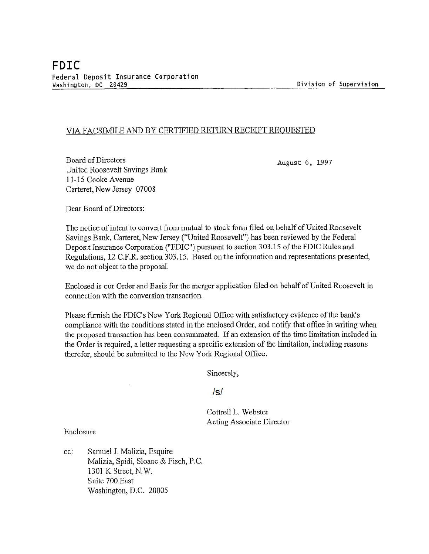## VIA FACSIMILE AND BY CERTIFIED RETURN RECEIPT REQUESTED

Board of Directors United Roosevelt Savings Bank 11-15 Cooke A venue Carteret, New Jersey 07008

August 6, 1997

Dear Board of Directors:

The notice of intent to convert from mutual to stock form filed on behalf of United Roosevelt Savings Bank, Carteret, New Jersey ("United Roosevelt") has been reviewed by the Federal Deposit Insurance Corporation ("FDIC") pursuant to section 303:15 of the FDIC Rules and Regulations, 12 C.F.R. section 303.15. Based on the information and representations presented, we do not object to the proposal.

Enclosed is our Order and Basis for the merger application filed on behalf of United Roosevelt in connection with the conversion transaction.

Please furnish the FDIC's New York Regional Office with satisfactory evidence of the bank's compliance with the conditions stated in the enclosed Order, and notify that office in writing when the proposed transaction has been consummated. If an extension of the time limitation included in the Order is required, a letter requesting a specific extension of the limitation, including reasons therefor, should be submitted to the New York Regional Office.

Sincerely,

Is/

Cottrell L. Webster Acting Associate Director

Enclosure

cc: Samuel J. Malizia, Esquire Malizia, Spidi, Sloane & Fisch, P.C. 1301 K Street, N.W. Suite 700 East Washington, D.C. 20005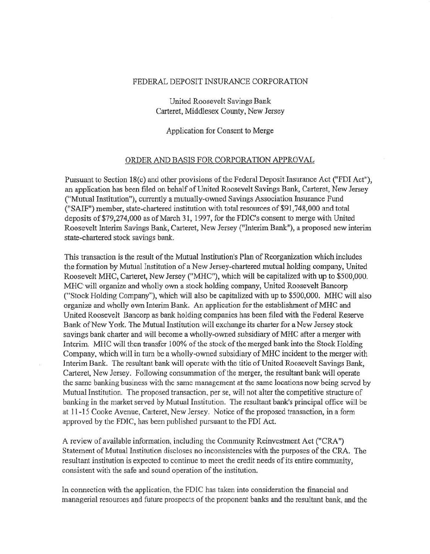## FEDERAL DEPOSIT INSURANCE CORPORATION

United Roosevelt Savings Bank Carteret, Middlesex County, New Jersey

Application for Consent to Merge

## ORDER AND BASIS FOR CORPORATION APPROVAL

Pursuant to Section 18(c) and other provisions of the Federal Deposit Insurance Act ("FDI Act"), an application has been filed on behalf of United Roosevelt Savings Bank, Carteret, New Jersey ("Mutual Institution"), currently a mutually-owned Savings Association Insurance Fund ("SAIF") member, state-chartered institution with total resources of \$91,748,000 and total deposits of\$79,274,000 as of March 31, 1997, for the FDIC's consent to merge with United Roosevelt Interim Savings Bank, Carteret, New Jersey ("Interim Bank"), a proposed new interim state-chartered stock savings bank.

This transaction is the result of the Mutual Institution's Plan of Reorganization which includes the formation by Mutual Institution of a New Jersey-chartered mutual holding company, United Roosevelt MHC, Carteret, New Jersey ("MHC"), which will be capitalized with up to \$500,000. MHC will organize and wholly own a stock holding company, United Roosevelt Bancorp ("Stock Holding Company"), which will also be capitalized with up to \$500,000. MHC will also organize and wholly own Interim Bank. An application for the establishment of MHC and United Roosevelt Bancorp as bank holding companies has been filed with the Federal Reserve Bank of New York. The Mutual Institution will exchange its charter for a New Jersey stock savings bank charter and will become a wholly-owned subsidiary of MHC after a merger with Interim. MHC will then transfer 100% of the stock of the merged bank into the Stock Holding Company, which will in turn be a wholly-owned subsidiary ofMHC incident to the merger with Interim Bank. The resultant bank will operate with the title of United Roosevelt Savings Bank, Carteret, New Jersey. Following consummation of the merger, the resultant bank will operate the same banking business with the same management at the same locations now being served by Mutual Institution. The proposed transaction, per se, will not alter the competitive structure of banking in the market served by Mutual Institution. The resultant bank's principal office will be at 11-15 Cooke Avenue, Carteret, New Jersey. Notice of the proposed transaction, in a form approved by the FDIC, has been published pursuant to the FDI Act.

A review of available information, including the Community Reinvestment Act ("CRA") Statement of Mutual Institution discloses no inconsistencies with the purposes of the CRA. The resultant institution is expected to continue to meet the credit needs of its entire community, consistent with the safe and sound operation of the institution.

In connection with the application, the FDIC bas taken into consideration the financial and managerial resources and future prospects of the proponent banks and the resultant bank, and the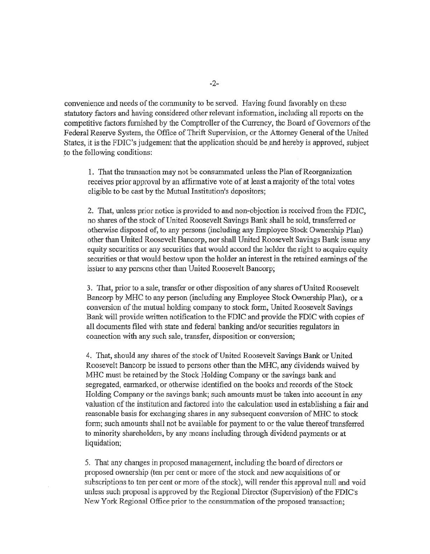convenience and needs of the community to be served. Having found favorably on these statutory factors and having considered other relevant information, including all reports on the comp etitive factors furnished by the Comptroller of the Currency, the Board of Governors of the Federal Reserve System, the Office of Thrift Supervision, or the Attorney General of the United States, it is the FDIC's judgement that the application should be \_and hereby is approved, subject to the following conditions:

1. That the transaction may not be consummated unless the Plan of Reorganization receives prior approval by an affinnative vote of at least a majority of the total votes eligible to be cast by the Mutual Institution's depositors;

2. That, unless prior notice is provided to and non-objection is received from the FDIC, no shares of the stock of United Roosevelt Savings Bank shall be sold, transferred or otherwise disposed of, to any persons (including any Employee Stock Ownership Plan) other than United Roosevelt Bancorp, nor shall United Roosevelt Savings Bank issue any equity securities or any securities that would accord the holder the right to acquire equity securities or that would bestow upon the holder an interest in the retained earnings of the issuer to any persons other than United Roosevelt Bancorp;

3. That, prior to a sale, transfer or other disposition of any shares of United Roosevelt Bancorp by MHC to any person (including any Employee Stock Ownership Plan), or a conversion of the mutual holding company to stock form, United Roosevelt Savings Bank will provide written notification to the FDIC and provide the FDIC with copies of all documents filed with state and federal banking and/or securities regulators in connection with any such sale, transfer, disposition or conversion;

4. That, should any shares of the stock of United Roosevelt Savings Bank or United Roosevelt Bancorp be issued to persons other than the MHC, any dividends waived by MHC must be retained by the Stock Holding Company or the savings bank and segregated, earmarked, or otherwise identified on the books and records of the Stock Holding Company or the savings bank; such amounts must be taken into account in any valuation of the institution and factored into the calculation used in establishing a fair and reasonable basis for exchanging shares in any subsequent conversion of MHC to stock form; such amounts shall not be available for payment to or the value thereof transferred to minority shareholders, by any means including through dividend payments or at liquidation;

5. That any changes in proposed management, including the board of directors or proposed ownership (ten per cent or more of the stock and new acquisitions of or subscriptions to ten per cent or more of the stock), will render this approval null and void unless such proposal is approved by the Regional Director (Supervision) of the FDIC's New York Regional Office prior to the consummation of the proposed transaction;